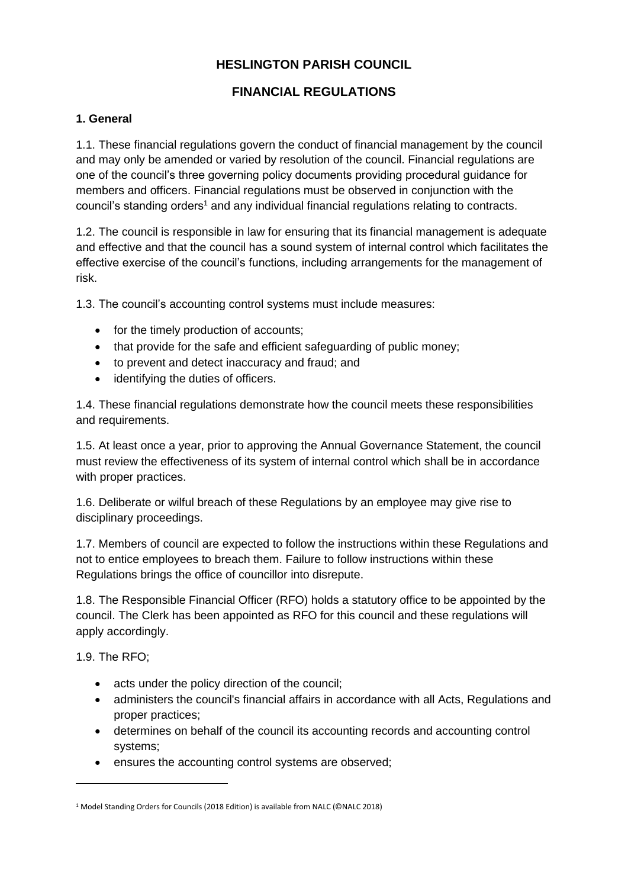# **HESLINGTON PARISH COUNCIL**

# **FINANCIAL REGULATIONS**

### **1. General**

1.1. These financial regulations govern the conduct of financial management by the council and may only be amended or varied by resolution of the council. Financial regulations are one of the council's three governing policy documents providing procedural guidance for members and officers. Financial regulations must be observed in conjunction with the council's standing orders<sup>1</sup> and any individual financial regulations relating to contracts.

1.2. The council is responsible in law for ensuring that its financial management is adequate and effective and that the council has a sound system of internal control which facilitates the effective exercise of the council's functions, including arrangements for the management of risk.

1.3. The council's accounting control systems must include measures:

- for the timely production of accounts;
- that provide for the safe and efficient safeguarding of public money:
- to prevent and detect inaccuracy and fraud; and
- identifying the duties of officers.

1.4. These financial regulations demonstrate how the council meets these responsibilities and requirements.

1.5. At least once a year, prior to approving the Annual Governance Statement, the council must review the effectiveness of its system of internal control which shall be in accordance with proper practices.

1.6. Deliberate or wilful breach of these Regulations by an employee may give rise to disciplinary proceedings.

1.7. Members of council are expected to follow the instructions within these Regulations and not to entice employees to breach them. Failure to follow instructions within these Regulations brings the office of councillor into disrepute.

1.8. The Responsible Financial Officer (RFO) holds a statutory office to be appointed by the council. The Clerk has been appointed as RFO for this council and these regulations will apply accordingly.

1.9. The RFO;

- acts under the policy direction of the council;
- administers the council's financial affairs in accordance with all Acts, Regulations and proper practices;
- determines on behalf of the council its accounting records and accounting control systems;
- ensures the accounting control systems are observed;

<sup>1</sup> Model Standing Orders for Councils (2018 Edition) is available from NALC (©NALC 2018)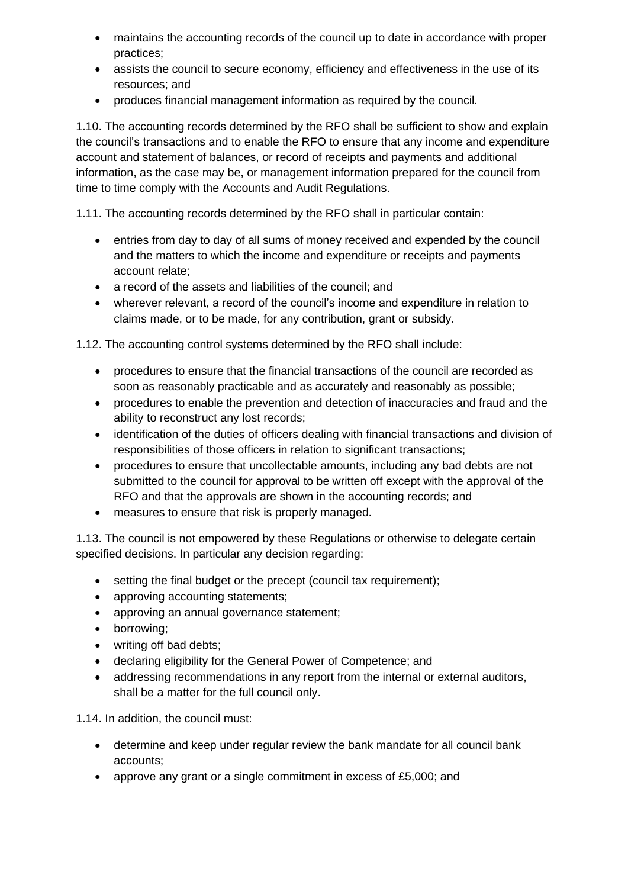- maintains the accounting records of the council up to date in accordance with proper practices;
- assists the council to secure economy, efficiency and effectiveness in the use of its resources; and
- produces financial management information as required by the council.

1.10. The accounting records determined by the RFO shall be sufficient to show and explain the council's transactions and to enable the RFO to ensure that any income and expenditure account and statement of balances, or record of receipts and payments and additional information, as the case may be, or management information prepared for the council from time to time comply with the Accounts and Audit Regulations.

1.11. The accounting records determined by the RFO shall in particular contain:

- entries from day to day of all sums of money received and expended by the council and the matters to which the income and expenditure or receipts and payments account relate;
- a record of the assets and liabilities of the council; and
- wherever relevant, a record of the council's income and expenditure in relation to claims made, or to be made, for any contribution, grant or subsidy.

1.12. The accounting control systems determined by the RFO shall include:

- procedures to ensure that the financial transactions of the council are recorded as soon as reasonably practicable and as accurately and reasonably as possible;
- procedures to enable the prevention and detection of inaccuracies and fraud and the ability to reconstruct any lost records;
- identification of the duties of officers dealing with financial transactions and division of responsibilities of those officers in relation to significant transactions;
- procedures to ensure that uncollectable amounts, including any bad debts are not submitted to the council for approval to be written off except with the approval of the RFO and that the approvals are shown in the accounting records; and
- measures to ensure that risk is properly managed.

1.13. The council is not empowered by these Regulations or otherwise to delegate certain specified decisions. In particular any decision regarding:

- setting the final budget or the precept (council tax requirement);
- approving accounting statements;
- approving an annual governance statement;
- borrowing;
- writing off bad debts;
- declaring eligibility for the General Power of Competence; and
- addressing recommendations in any report from the internal or external auditors, shall be a matter for the full council only.

1.14. In addition, the council must:

- determine and keep under regular review the bank mandate for all council bank accounts;
- approve any grant or a single commitment in excess of £5,000; and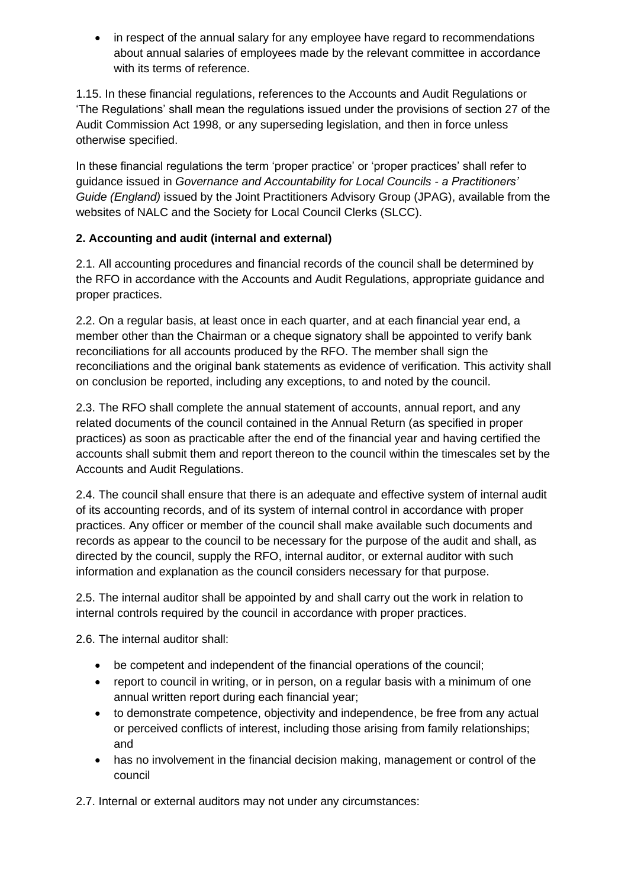• in respect of the annual salary for any employee have regard to recommendations about annual salaries of employees made by the relevant committee in accordance with its terms of reference.

1.15. In these financial regulations, references to the Accounts and Audit Regulations or 'The Regulations' shall mean the regulations issued under the provisions of section 27 of the Audit Commission Act 1998, or any superseding legislation, and then in force unless otherwise specified.

In these financial regulations the term 'proper practice' or 'proper practices' shall refer to guidance issued in *Governance and Accountability for Local Councils - a Practitioners' Guide (England)* issued by the Joint Practitioners Advisory Group (JPAG), available from the websites of NALC and the Society for Local Council Clerks (SLCC).

# **2. Accounting and audit (internal and external)**

2.1. All accounting procedures and financial records of the council shall be determined by the RFO in accordance with the Accounts and Audit Regulations, appropriate guidance and proper practices.

2.2. On a regular basis, at least once in each quarter, and at each financial year end, a member other than the Chairman or a cheque signatory shall be appointed to verify bank reconciliations for all accounts produced by the RFO. The member shall sign the reconciliations and the original bank statements as evidence of verification. This activity shall on conclusion be reported, including any exceptions, to and noted by the council.

2.3. The RFO shall complete the annual statement of accounts, annual report, and any related documents of the council contained in the Annual Return (as specified in proper practices) as soon as practicable after the end of the financial year and having certified the accounts shall submit them and report thereon to the council within the timescales set by the Accounts and Audit Regulations.

2.4. The council shall ensure that there is an adequate and effective system of internal audit of its accounting records, and of its system of internal control in accordance with proper practices. Any officer or member of the council shall make available such documents and records as appear to the council to be necessary for the purpose of the audit and shall, as directed by the council, supply the RFO, internal auditor, or external auditor with such information and explanation as the council considers necessary for that purpose.

2.5. The internal auditor shall be appointed by and shall carry out the work in relation to internal controls required by the council in accordance with proper practices.

2.6. The internal auditor shall:

- be competent and independent of the financial operations of the council;
- report to council in writing, or in person, on a regular basis with a minimum of one annual written report during each financial year;
- to demonstrate competence, objectivity and independence, be free from any actual or perceived conflicts of interest, including those arising from family relationships; and
- has no involvement in the financial decision making, management or control of the council

2.7. Internal or external auditors may not under any circumstances: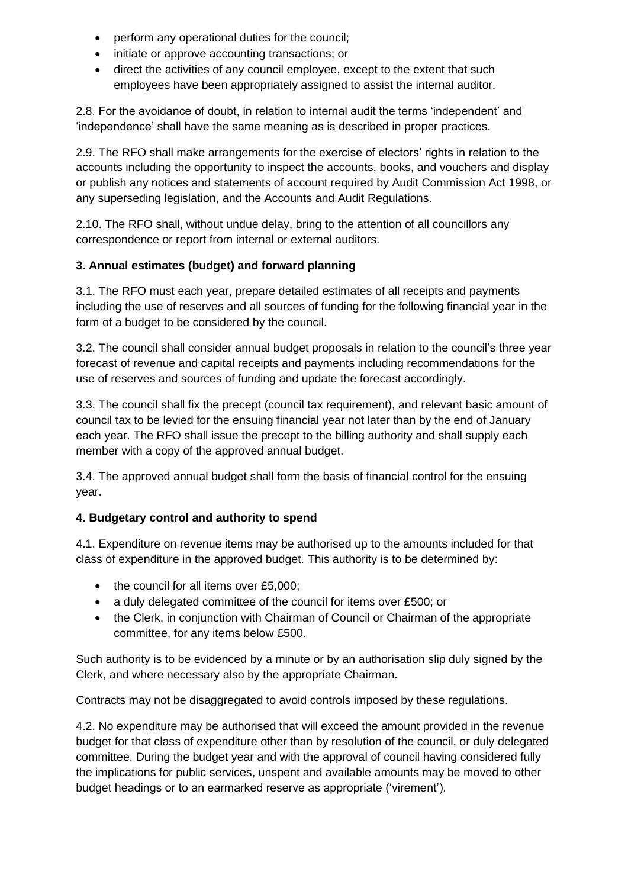- perform any operational duties for the council;
- initiate or approve accounting transactions; or
- direct the activities of any council employee, except to the extent that such employees have been appropriately assigned to assist the internal auditor.

2.8. For the avoidance of doubt, in relation to internal audit the terms 'independent' and 'independence' shall have the same meaning as is described in proper practices.

2.9. The RFO shall make arrangements for the exercise of electors' rights in relation to the accounts including the opportunity to inspect the accounts, books, and vouchers and display or publish any notices and statements of account required by Audit Commission Act 1998, or any superseding legislation, and the Accounts and Audit Regulations.

2.10. The RFO shall, without undue delay, bring to the attention of all councillors any correspondence or report from internal or external auditors.

## **3. Annual estimates (budget) and forward planning**

3.1. The RFO must each year, prepare detailed estimates of all receipts and payments including the use of reserves and all sources of funding for the following financial year in the form of a budget to be considered by the council.

3.2. The council shall consider annual budget proposals in relation to the council's three year forecast of revenue and capital receipts and payments including recommendations for the use of reserves and sources of funding and update the forecast accordingly.

3.3. The council shall fix the precept (council tax requirement), and relevant basic amount of council tax to be levied for the ensuing financial year not later than by the end of January each year. The RFO shall issue the precept to the billing authority and shall supply each member with a copy of the approved annual budget.

3.4. The approved annual budget shall form the basis of financial control for the ensuing year.

### **4. Budgetary control and authority to spend**

4.1. Expenditure on revenue items may be authorised up to the amounts included for that class of expenditure in the approved budget. This authority is to be determined by:

- the council for all items over £5,000;
- a duly delegated committee of the council for items over £500; or
- the Clerk, in conjunction with Chairman of Council or Chairman of the appropriate committee, for any items below £500.

Such authority is to be evidenced by a minute or by an authorisation slip duly signed by the Clerk, and where necessary also by the appropriate Chairman.

Contracts may not be disaggregated to avoid controls imposed by these regulations.

4.2. No expenditure may be authorised that will exceed the amount provided in the revenue budget for that class of expenditure other than by resolution of the council, or duly delegated committee. During the budget year and with the approval of council having considered fully the implications for public services, unspent and available amounts may be moved to other budget headings or to an earmarked reserve as appropriate ('virement').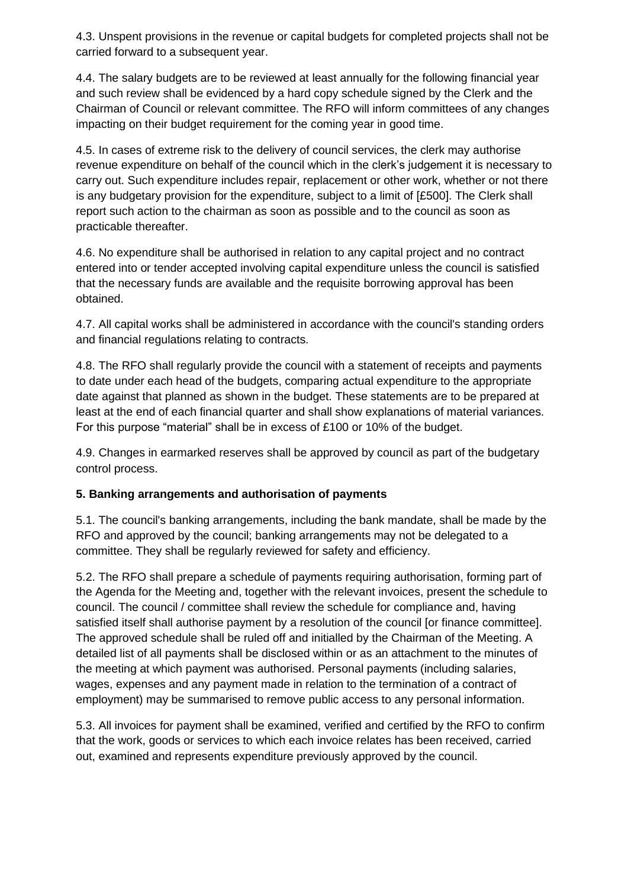4.3. Unspent provisions in the revenue or capital budgets for completed projects shall not be carried forward to a subsequent year.

4.4. The salary budgets are to be reviewed at least annually for the following financial year and such review shall be evidenced by a hard copy schedule signed by the Clerk and the Chairman of Council or relevant committee. The RFO will inform committees of any changes impacting on their budget requirement for the coming year in good time.

4.5. In cases of extreme risk to the delivery of council services, the clerk may authorise revenue expenditure on behalf of the council which in the clerk's judgement it is necessary to carry out. Such expenditure includes repair, replacement or other work, whether or not there is any budgetary provision for the expenditure, subject to a limit of [£500]. The Clerk shall report such action to the chairman as soon as possible and to the council as soon as practicable thereafter.

4.6. No expenditure shall be authorised in relation to any capital project and no contract entered into or tender accepted involving capital expenditure unless the council is satisfied that the necessary funds are available and the requisite borrowing approval has been obtained.

4.7. All capital works shall be administered in accordance with the council's standing orders and financial regulations relating to contracts.

4.8. The RFO shall regularly provide the council with a statement of receipts and payments to date under each head of the budgets, comparing actual expenditure to the appropriate date against that planned as shown in the budget. These statements are to be prepared at least at the end of each financial quarter and shall show explanations of material variances. For this purpose "material" shall be in excess of £100 or 10% of the budget.

4.9. Changes in earmarked reserves shall be approved by council as part of the budgetary control process.

### **5. Banking arrangements and authorisation of payments**

5.1. The council's banking arrangements, including the bank mandate, shall be made by the RFO and approved by the council; banking arrangements may not be delegated to a committee. They shall be regularly reviewed for safety and efficiency.

5.2. The RFO shall prepare a schedule of payments requiring authorisation, forming part of the Agenda for the Meeting and, together with the relevant invoices, present the schedule to council. The council / committee shall review the schedule for compliance and, having satisfied itself shall authorise payment by a resolution of the council [or finance committee]. The approved schedule shall be ruled off and initialled by the Chairman of the Meeting. A detailed list of all payments shall be disclosed within or as an attachment to the minutes of the meeting at which payment was authorised. Personal payments (including salaries, wages, expenses and any payment made in relation to the termination of a contract of employment) may be summarised to remove public access to any personal information.

5.3. All invoices for payment shall be examined, verified and certified by the RFO to confirm that the work, goods or services to which each invoice relates has been received, carried out, examined and represents expenditure previously approved by the council.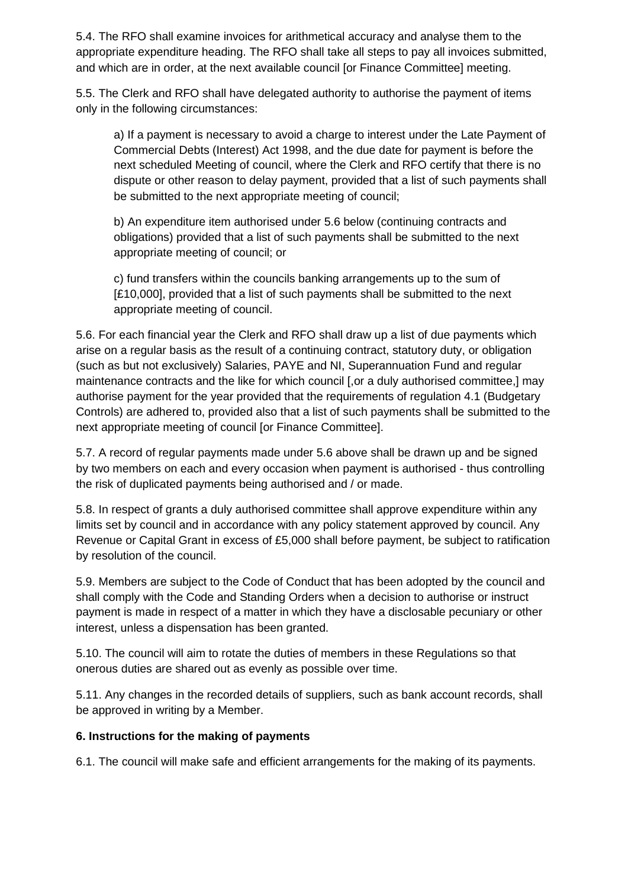5.4. The RFO shall examine invoices for arithmetical accuracy and analyse them to the appropriate expenditure heading. The RFO shall take all steps to pay all invoices submitted, and which are in order, at the next available council [or Finance Committee] meeting.

5.5. The Clerk and RFO shall have delegated authority to authorise the payment of items only in the following circumstances:

a) If a payment is necessary to avoid a charge to interest under the Late Payment of Commercial Debts (Interest) Act 1998, and the due date for payment is before the next scheduled Meeting of council, where the Clerk and RFO certify that there is no dispute or other reason to delay payment, provided that a list of such payments shall be submitted to the next appropriate meeting of council;

b) An expenditure item authorised under 5.6 below (continuing contracts and obligations) provided that a list of such payments shall be submitted to the next appropriate meeting of council; or

c) fund transfers within the councils banking arrangements up to the sum of [£10,000], provided that a list of such payments shall be submitted to the next appropriate meeting of council.

5.6. For each financial year the Clerk and RFO shall draw up a list of due payments which arise on a regular basis as the result of a continuing contract, statutory duty, or obligation (such as but not exclusively) Salaries, PAYE and NI, Superannuation Fund and regular maintenance contracts and the like for which council [,or a duly authorised committee,] may authorise payment for the year provided that the requirements of regulation 4.1 (Budgetary Controls) are adhered to, provided also that a list of such payments shall be submitted to the next appropriate meeting of council [or Finance Committee].

5.7. A record of regular payments made under 5.6 above shall be drawn up and be signed by two members on each and every occasion when payment is authorised - thus controlling the risk of duplicated payments being authorised and / or made.

5.8. In respect of grants a duly authorised committee shall approve expenditure within any limits set by council and in accordance with any policy statement approved by council. Any Revenue or Capital Grant in excess of £5,000 shall before payment, be subject to ratification by resolution of the council.

5.9. Members are subject to the Code of Conduct that has been adopted by the council and shall comply with the Code and Standing Orders when a decision to authorise or instruct payment is made in respect of a matter in which they have a disclosable pecuniary or other interest, unless a dispensation has been granted.

5.10. The council will aim to rotate the duties of members in these Regulations so that onerous duties are shared out as evenly as possible over time.

5.11. Any changes in the recorded details of suppliers, such as bank account records, shall be approved in writing by a Member.

### **6. Instructions for the making of payments**

6.1. The council will make safe and efficient arrangements for the making of its payments.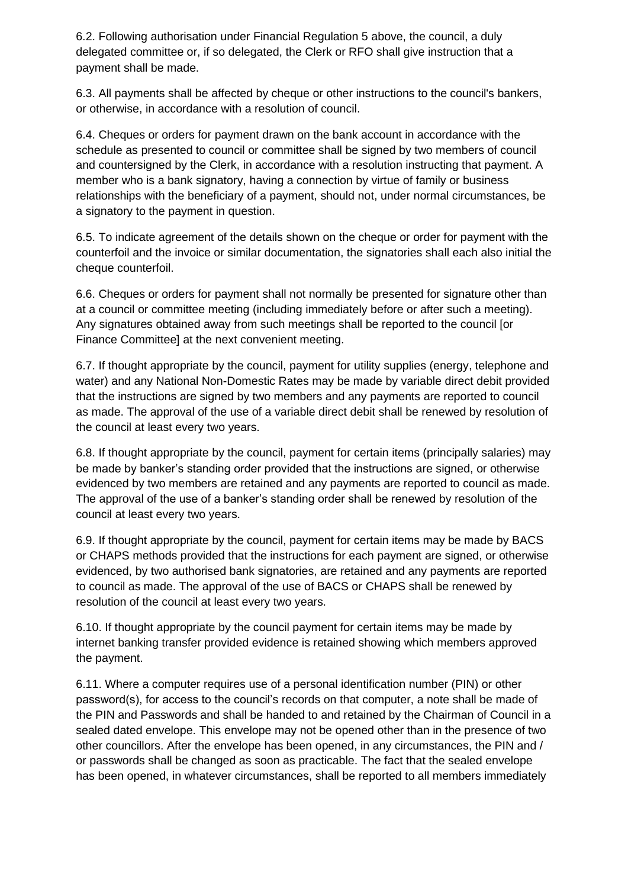6.2. Following authorisation under Financial Regulation 5 above, the council, a duly delegated committee or, if so delegated, the Clerk or RFO shall give instruction that a payment shall be made.

6.3. All payments shall be affected by cheque or other instructions to the council's bankers, or otherwise, in accordance with a resolution of council.

6.4. Cheques or orders for payment drawn on the bank account in accordance with the schedule as presented to council or committee shall be signed by two members of council and countersigned by the Clerk, in accordance with a resolution instructing that payment. A member who is a bank signatory, having a connection by virtue of family or business relationships with the beneficiary of a payment, should not, under normal circumstances, be a signatory to the payment in question.

6.5. To indicate agreement of the details shown on the cheque or order for payment with the counterfoil and the invoice or similar documentation, the signatories shall each also initial the cheque counterfoil.

6.6. Cheques or orders for payment shall not normally be presented for signature other than at a council or committee meeting (including immediately before or after such a meeting). Any signatures obtained away from such meetings shall be reported to the council [or Finance Committee] at the next convenient meeting.

6.7. If thought appropriate by the council, payment for utility supplies (energy, telephone and water) and any National Non-Domestic Rates may be made by variable direct debit provided that the instructions are signed by two members and any payments are reported to council as made. The approval of the use of a variable direct debit shall be renewed by resolution of the council at least every two years.

6.8. If thought appropriate by the council, payment for certain items (principally salaries) may be made by banker's standing order provided that the instructions are signed, or otherwise evidenced by two members are retained and any payments are reported to council as made. The approval of the use of a banker's standing order shall be renewed by resolution of the council at least every two years.

6.9. If thought appropriate by the council, payment for certain items may be made by BACS or CHAPS methods provided that the instructions for each payment are signed, or otherwise evidenced, by two authorised bank signatories, are retained and any payments are reported to council as made. The approval of the use of BACS or CHAPS shall be renewed by resolution of the council at least every two years.

6.10. If thought appropriate by the council payment for certain items may be made by internet banking transfer provided evidence is retained showing which members approved the payment.

6.11. Where a computer requires use of a personal identification number (PIN) or other password(s), for access to the council's records on that computer, a note shall be made of the PIN and Passwords and shall be handed to and retained by the Chairman of Council in a sealed dated envelope. This envelope may not be opened other than in the presence of two other councillors. After the envelope has been opened, in any circumstances, the PIN and / or passwords shall be changed as soon as practicable. The fact that the sealed envelope has been opened, in whatever circumstances, shall be reported to all members immediately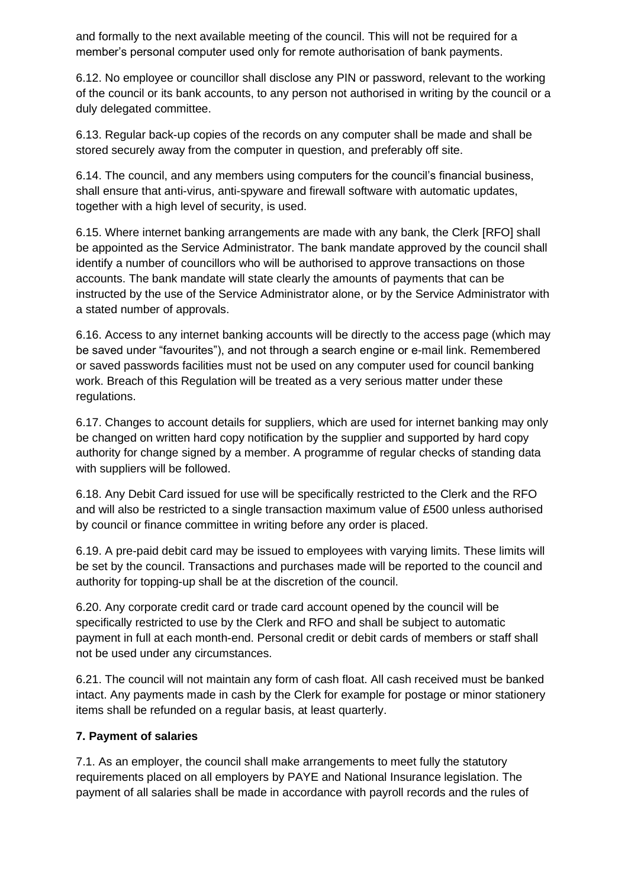and formally to the next available meeting of the council. This will not be required for a member's personal computer used only for remote authorisation of bank payments.

6.12. No employee or councillor shall disclose any PIN or password, relevant to the working of the council or its bank accounts, to any person not authorised in writing by the council or a duly delegated committee.

6.13. Regular back-up copies of the records on any computer shall be made and shall be stored securely away from the computer in question, and preferably off site.

6.14. The council, and any members using computers for the council's financial business, shall ensure that anti-virus, anti-spyware and firewall software with automatic updates, together with a high level of security, is used.

6.15. Where internet banking arrangements are made with any bank, the Clerk [RFO] shall be appointed as the Service Administrator. The bank mandate approved by the council shall identify a number of councillors who will be authorised to approve transactions on those accounts. The bank mandate will state clearly the amounts of payments that can be instructed by the use of the Service Administrator alone, or by the Service Administrator with a stated number of approvals.

6.16. Access to any internet banking accounts will be directly to the access page (which may be saved under "favourites"), and not through a search engine or e-mail link. Remembered or saved passwords facilities must not be used on any computer used for council banking work. Breach of this Regulation will be treated as a very serious matter under these regulations.

6.17. Changes to account details for suppliers, which are used for internet banking may only be changed on written hard copy notification by the supplier and supported by hard copy authority for change signed by a member. A programme of regular checks of standing data with suppliers will be followed.

6.18. Any Debit Card issued for use will be specifically restricted to the Clerk and the RFO and will also be restricted to a single transaction maximum value of £500 unless authorised by council or finance committee in writing before any order is placed.

6.19. A pre-paid debit card may be issued to employees with varying limits. These limits will be set by the council. Transactions and purchases made will be reported to the council and authority for topping-up shall be at the discretion of the council.

6.20. Any corporate credit card or trade card account opened by the council will be specifically restricted to use by the Clerk and RFO and shall be subject to automatic payment in full at each month-end. Personal credit or debit cards of members or staff shall not be used under any circumstances.

6.21. The council will not maintain any form of cash float. All cash received must be banked intact. Any payments made in cash by the Clerk for example for postage or minor stationery items shall be refunded on a regular basis, at least quarterly.

### **7. Payment of salaries**

7.1. As an employer, the council shall make arrangements to meet fully the statutory requirements placed on all employers by PAYE and National Insurance legislation. The payment of all salaries shall be made in accordance with payroll records and the rules of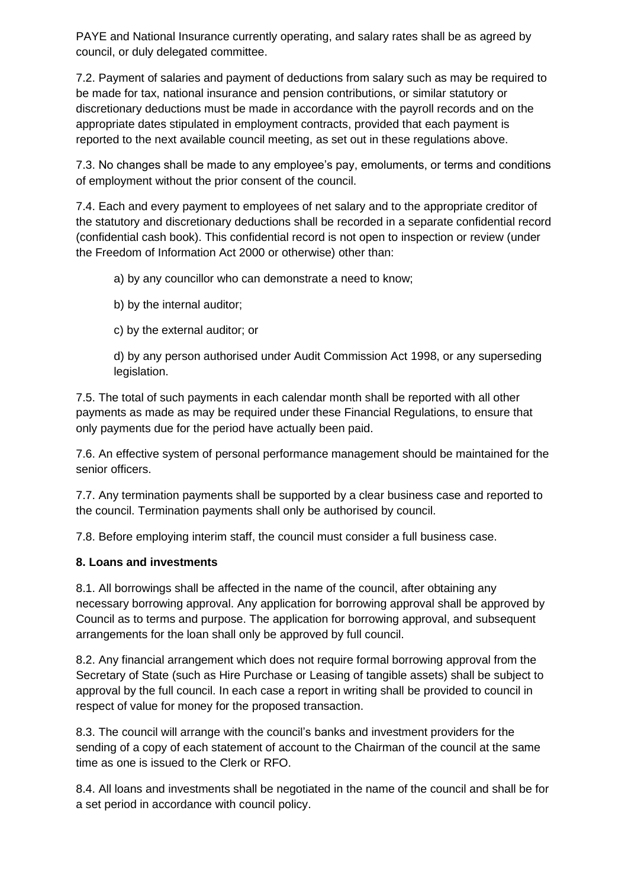PAYE and National Insurance currently operating, and salary rates shall be as agreed by council, or duly delegated committee.

7.2. Payment of salaries and payment of deductions from salary such as may be required to be made for tax, national insurance and pension contributions, or similar statutory or discretionary deductions must be made in accordance with the payroll records and on the appropriate dates stipulated in employment contracts, provided that each payment is reported to the next available council meeting, as set out in these regulations above.

7.3. No changes shall be made to any employee's pay, emoluments, or terms and conditions of employment without the prior consent of the council.

7.4. Each and every payment to employees of net salary and to the appropriate creditor of the statutory and discretionary deductions shall be recorded in a separate confidential record (confidential cash book). This confidential record is not open to inspection or review (under the Freedom of Information Act 2000 or otherwise) other than:

a) by any councillor who can demonstrate a need to know;

b) by the internal auditor;

c) by the external auditor; or

d) by any person authorised under Audit Commission Act 1998, or any superseding legislation.

7.5. The total of such payments in each calendar month shall be reported with all other payments as made as may be required under these Financial Regulations, to ensure that only payments due for the period have actually been paid.

7.6. An effective system of personal performance management should be maintained for the senior officers.

7.7. Any termination payments shall be supported by a clear business case and reported to the council. Termination payments shall only be authorised by council.

7.8. Before employing interim staff, the council must consider a full business case.

### **8. Loans and investments**

8.1. All borrowings shall be affected in the name of the council, after obtaining any necessary borrowing approval. Any application for borrowing approval shall be approved by Council as to terms and purpose. The application for borrowing approval, and subsequent arrangements for the loan shall only be approved by full council.

8.2. Any financial arrangement which does not require formal borrowing approval from the Secretary of State (such as Hire Purchase or Leasing of tangible assets) shall be subject to approval by the full council. In each case a report in writing shall be provided to council in respect of value for money for the proposed transaction.

8.3. The council will arrange with the council's banks and investment providers for the sending of a copy of each statement of account to the Chairman of the council at the same time as one is issued to the Clerk or RFO.

8.4. All loans and investments shall be negotiated in the name of the council and shall be for a set period in accordance with council policy.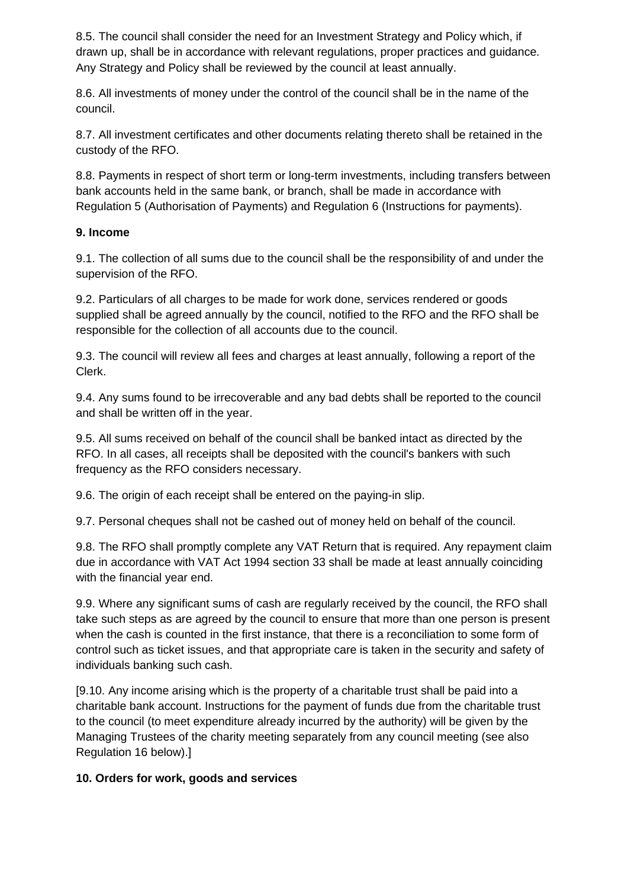8.5. The council shall consider the need for an Investment Strategy and Policy which, if drawn up, shall be in accordance with relevant regulations, proper practices and guidance. Any Strategy and Policy shall be reviewed by the council at least annually.

8.6. All investments of money under the control of the council shall be in the name of the council.

8.7. All investment certificates and other documents relating thereto shall be retained in the custody of the RFO.

8.8. Payments in respect of short term or long-term investments, including transfers between bank accounts held in the same bank, or branch, shall be made in accordance with Regulation 5 (Authorisation of Payments) and Regulation 6 (Instructions for payments).

### **9. Income**

9.1. The collection of all sums due to the council shall be the responsibility of and under the supervision of the RFO.

9.2. Particulars of all charges to be made for work done, services rendered or goods supplied shall be agreed annually by the council, notified to the RFO and the RFO shall be responsible for the collection of all accounts due to the council.

9.3. The council will review all fees and charges at least annually, following a report of the Clerk.

9.4. Any sums found to be irrecoverable and any bad debts shall be reported to the council and shall be written off in the year.

9.5. All sums received on behalf of the council shall be banked intact as directed by the RFO. In all cases, all receipts shall be deposited with the council's bankers with such frequency as the RFO considers necessary.

9.6. The origin of each receipt shall be entered on the paying-in slip.

9.7. Personal cheques shall not be cashed out of money held on behalf of the council.

9.8. The RFO shall promptly complete any VAT Return that is required. Any repayment claim due in accordance with VAT Act 1994 section 33 shall be made at least annually coinciding with the financial year end.

9.9. Where any significant sums of cash are regularly received by the council, the RFO shall take such steps as are agreed by the council to ensure that more than one person is present when the cash is counted in the first instance, that there is a reconciliation to some form of control such as ticket issues, and that appropriate care is taken in the security and safety of individuals banking such cash.

[9.10. Any income arising which is the property of a charitable trust shall be paid into a charitable bank account. Instructions for the payment of funds due from the charitable trust to the council (to meet expenditure already incurred by the authority) will be given by the Managing Trustees of the charity meeting separately from any council meeting (see also Regulation 16 below).]

### **10. Orders for work, goods and services**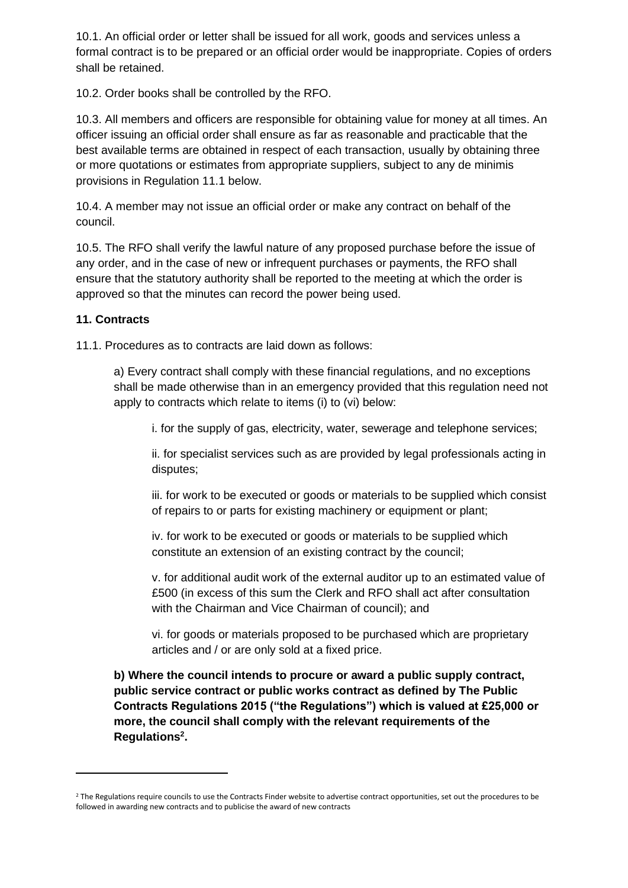10.1. An official order or letter shall be issued for all work, goods and services unless a formal contract is to be prepared or an official order would be inappropriate. Copies of orders shall be retained.

10.2. Order books shall be controlled by the RFO.

10.3. All members and officers are responsible for obtaining value for money at all times. An officer issuing an official order shall ensure as far as reasonable and practicable that the best available terms are obtained in respect of each transaction, usually by obtaining three or more quotations or estimates from appropriate suppliers, subject to any de minimis provisions in Regulation 11.1 below.

10.4. A member may not issue an official order or make any contract on behalf of the council.

10.5. The RFO shall verify the lawful nature of any proposed purchase before the issue of any order, and in the case of new or infrequent purchases or payments, the RFO shall ensure that the statutory authority shall be reported to the meeting at which the order is approved so that the minutes can record the power being used.

#### **11. Contracts**

11.1. Procedures as to contracts are laid down as follows:

a) Every contract shall comply with these financial regulations, and no exceptions shall be made otherwise than in an emergency provided that this regulation need not apply to contracts which relate to items (i) to (vi) below:

i. for the supply of gas, electricity, water, sewerage and telephone services;

ii. for specialist services such as are provided by legal professionals acting in disputes;

iii. for work to be executed or goods or materials to be supplied which consist of repairs to or parts for existing machinery or equipment or plant;

iv. for work to be executed or goods or materials to be supplied which constitute an extension of an existing contract by the council;

v. for additional audit work of the external auditor up to an estimated value of £500 (in excess of this sum the Clerk and RFO shall act after consultation with the Chairman and Vice Chairman of council); and

vi. for goods or materials proposed to be purchased which are proprietary articles and / or are only sold at a fixed price.

**b) Where the council intends to procure or award a public supply contract, public service contract or public works contract as defined by The Public Contracts Regulations 2015 ("the Regulations") which is valued at £25,000 or more, the council shall comply with the relevant requirements of the Regulations<sup>2</sup> .**

<sup>&</sup>lt;sup>2</sup> The Regulations require councils to use the Contracts Finder website to advertise contract opportunities, set out the procedures to be followed in awarding new contracts and to publicise the award of new contracts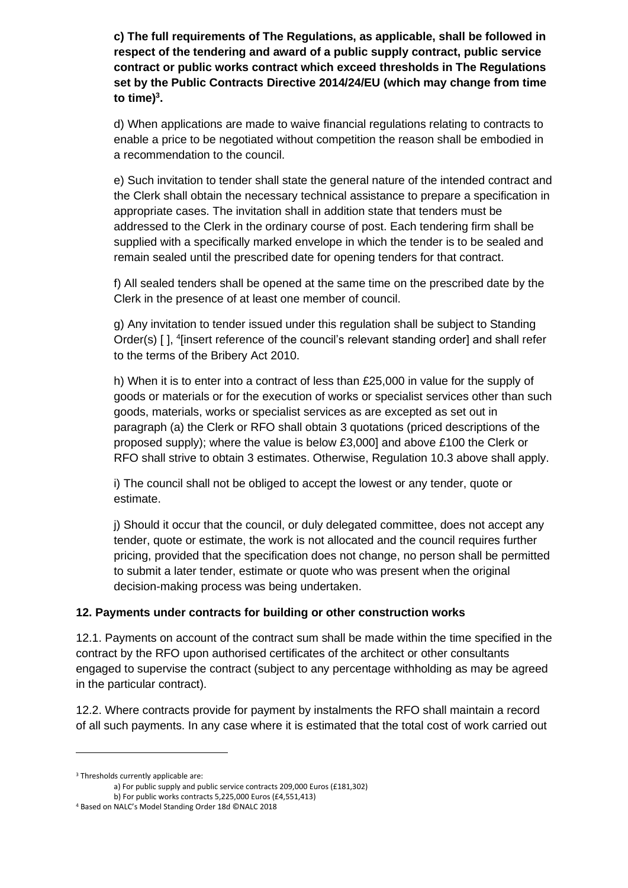**c) The full requirements of The Regulations, as applicable, shall be followed in respect of the tendering and award of a public supply contract, public service contract or public works contract which exceed thresholds in The Regulations set by the Public Contracts Directive 2014/24/EU (which may change from time to time)**<sup>3</sup>.

d) When applications are made to waive financial regulations relating to contracts to enable a price to be negotiated without competition the reason shall be embodied in a recommendation to the council.

e) Such invitation to tender shall state the general nature of the intended contract and the Clerk shall obtain the necessary technical assistance to prepare a specification in appropriate cases. The invitation shall in addition state that tenders must be addressed to the Clerk in the ordinary course of post. Each tendering firm shall be supplied with a specifically marked envelope in which the tender is to be sealed and remain sealed until the prescribed date for opening tenders for that contract.

f) All sealed tenders shall be opened at the same time on the prescribed date by the Clerk in the presence of at least one member of council.

g) Any invitation to tender issued under this regulation shall be subject to Standing Order(s) [], <sup>4</sup>[insert reference of the council's relevant standing order] and shall refer to the terms of the Bribery Act 2010.

h) When it is to enter into a contract of less than £25,000 in value for the supply of goods or materials or for the execution of works or specialist services other than such goods, materials, works or specialist services as are excepted as set out in paragraph (a) the Clerk or RFO shall obtain 3 quotations (priced descriptions of the proposed supply); where the value is below £3,000] and above £100 the Clerk or RFO shall strive to obtain 3 estimates. Otherwise, Regulation 10.3 above shall apply.

i) The council shall not be obliged to accept the lowest or any tender, quote or estimate.

j) Should it occur that the council, or duly delegated committee, does not accept any tender, quote or estimate, the work is not allocated and the council requires further pricing, provided that the specification does not change, no person shall be permitted to submit a later tender, estimate or quote who was present when the original decision-making process was being undertaken.

### **12. Payments under contracts for building or other construction works**

12.1. Payments on account of the contract sum shall be made within the time specified in the contract by the RFO upon authorised certificates of the architect or other consultants engaged to supervise the contract (subject to any percentage withholding as may be agreed in the particular contract).

12.2. Where contracts provide for payment by instalments the RFO shall maintain a record of all such payments. In any case where it is estimated that the total cost of work carried out

<sup>&</sup>lt;sup>3</sup> Thresholds currently applicable are:

a) For public supply and public service contracts 209,000 Euros (£181,302)

b) For public works contracts 5,225,000 Euros (£4,551,413)

<sup>4</sup> Based on NALC's Model Standing Order 18d ©NALC 2018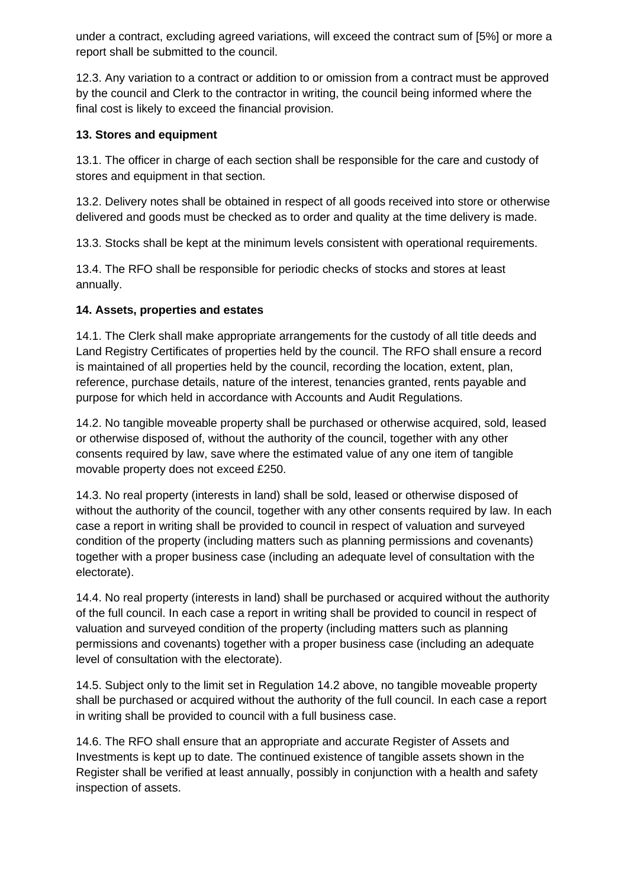under a contract, excluding agreed variations, will exceed the contract sum of [5%] or more a report shall be submitted to the council.

12.3. Any variation to a contract or addition to or omission from a contract must be approved by the council and Clerk to the contractor in writing, the council being informed where the final cost is likely to exceed the financial provision.

## **13. Stores and equipment**

13.1. The officer in charge of each section shall be responsible for the care and custody of stores and equipment in that section.

13.2. Delivery notes shall be obtained in respect of all goods received into store or otherwise delivered and goods must be checked as to order and quality at the time delivery is made.

13.3. Stocks shall be kept at the minimum levels consistent with operational requirements.

13.4. The RFO shall be responsible for periodic checks of stocks and stores at least annually.

### **14. Assets, properties and estates**

14.1. The Clerk shall make appropriate arrangements for the custody of all title deeds and Land Registry Certificates of properties held by the council. The RFO shall ensure a record is maintained of all properties held by the council, recording the location, extent, plan, reference, purchase details, nature of the interest, tenancies granted, rents payable and purpose for which held in accordance with Accounts and Audit Regulations.

14.2. No tangible moveable property shall be purchased or otherwise acquired, sold, leased or otherwise disposed of, without the authority of the council, together with any other consents required by law, save where the estimated value of any one item of tangible movable property does not exceed £250.

14.3. No real property (interests in land) shall be sold, leased or otherwise disposed of without the authority of the council, together with any other consents required by law. In each case a report in writing shall be provided to council in respect of valuation and surveyed condition of the property (including matters such as planning permissions and covenants) together with a proper business case (including an adequate level of consultation with the electorate).

14.4. No real property (interests in land) shall be purchased or acquired without the authority of the full council. In each case a report in writing shall be provided to council in respect of valuation and surveyed condition of the property (including matters such as planning permissions and covenants) together with a proper business case (including an adequate level of consultation with the electorate).

14.5. Subject only to the limit set in Regulation 14.2 above, no tangible moveable property shall be purchased or acquired without the authority of the full council. In each case a report in writing shall be provided to council with a full business case.

14.6. The RFO shall ensure that an appropriate and accurate Register of Assets and Investments is kept up to date. The continued existence of tangible assets shown in the Register shall be verified at least annually, possibly in conjunction with a health and safety inspection of assets.